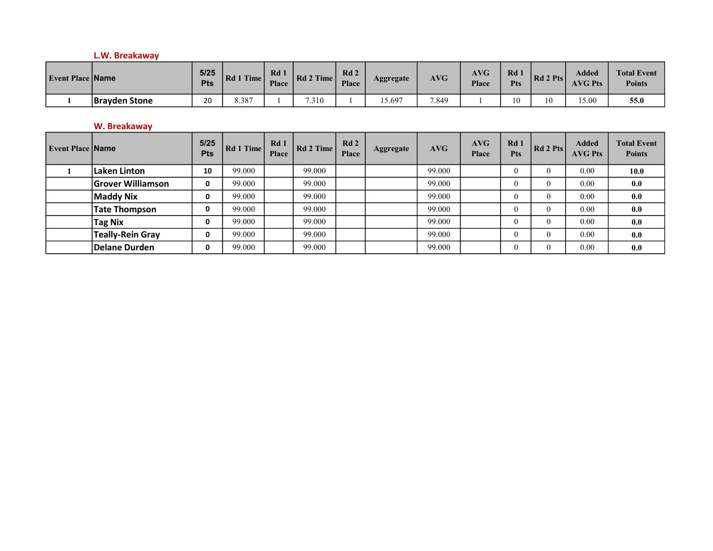# L.W. Breakaway

| <b>Event Place Name</b> |                      | 5/25<br><b>Pts</b> | $\overline{\text{Time}}$<br>  Rd | Rd <sub>1</sub><br><b>Place</b> | Rd 2 Time | Rd <sub>2</sub><br><b>Place</b> | Aggregate | <b>AVG</b> | <b>AVG</b><br><b>Place</b> | Rd<br><b>Pts</b> | Rd 2 Pts | Added<br><b>AVG Pts</b> | <b>Total Event</b><br><b>Points</b> |
|-------------------------|----------------------|--------------------|----------------------------------|---------------------------------|-----------|---------------------------------|-----------|------------|----------------------------|------------------|----------|-------------------------|-------------------------------------|
|                         | <b>Brayden Stone</b> | 20                 | 8.387                            |                                 | 7.310     |                                 | 5.697     | 7.849      |                            | 0                |          | 15.00                   | 55.0                                |

# W. Breakaway

| <b>Event Place Name</b> |                          | 5/25<br><b>Pts</b> | Rd 1 Time | Rd <sub>1</sub><br><b>Place</b> | Rd 2 Time | Rd2<br><b>Place</b> | Aggregate | AVG    | <b>AVG</b><br><b>Place</b> | Rd <sub>1</sub><br><b>Pts</b> | $\vert$ Rd 2 Pts $\vert$ | <b>Added</b><br><b>AVG Pts</b> | <b>Total Event</b><br><b>Points</b> |
|-------------------------|--------------------------|--------------------|-----------|---------------------------------|-----------|---------------------|-----------|--------|----------------------------|-------------------------------|--------------------------|--------------------------------|-------------------------------------|
|                         | Laken Linton             | 10                 | 99.000    |                                 | 99.000    |                     |           | 99.000 |                            |                               |                          | 0.00                           | 10.0                                |
|                         | <b>Grover Williamson</b> | 0                  | 99.000    |                                 | 99.000    |                     |           | 99.000 |                            |                               |                          | 0.00                           | 0.0                                 |
|                         | Maddy Nix                | 0                  | 99.000    |                                 | 99.000    |                     |           | 99.000 |                            |                               |                          | 0.00                           | 0.0                                 |
|                         | <b>Tate Thompson</b>     | 0                  | 99.000    |                                 | 99.000    |                     |           | 99.000 |                            |                               |                          | 0.00                           | 0.0                                 |
|                         | <b>Tag Nix</b>           | 0                  | 99.000    |                                 | 99.000    |                     |           | 99.000 |                            |                               |                          | 0.00                           | 0.0                                 |
|                         | <b>Teally-Rein Gray</b>  | 0                  | 99.000    |                                 | 99.000    |                     |           | 99.000 |                            |                               |                          | 0.00                           | 0.0                                 |
|                         | <b>Delane Durden</b>     | 0                  | 99.000    |                                 | 99.000    |                     |           | 99.000 |                            |                               |                          | 0.00                           | 0.0                                 |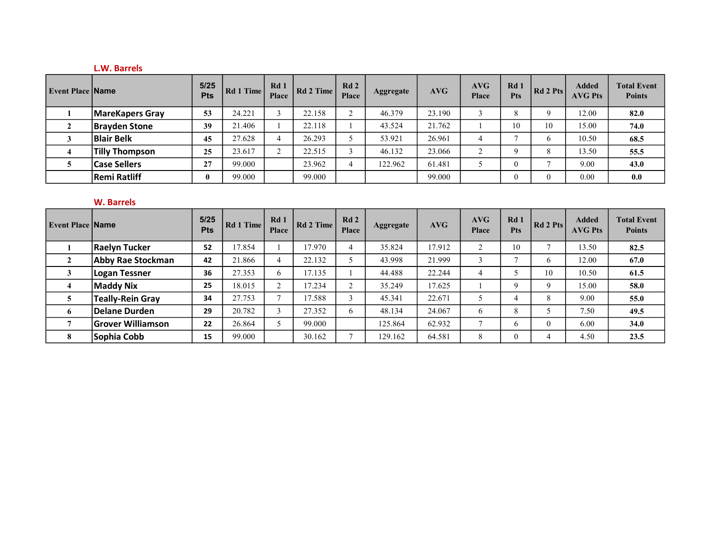## L.W. Barrels

| <b>Event Place Name</b> |                       | 5/25<br><b>Pts</b> | Rd 1 Time | Rd 1<br>Place | Rd 2 Time | Rd2<br>Place | Aggregate | AVG    | <b>AVG</b><br>Place | Rd <sub>1</sub><br><b>Pts</b> | $Rd$ 2 Pts | <b>Added</b><br><b>AVG Pts</b> | <b>Total Event</b><br><b>Points</b> |
|-------------------------|-----------------------|--------------------|-----------|---------------|-----------|--------------|-----------|--------|---------------------|-------------------------------|------------|--------------------------------|-------------------------------------|
|                         | MareKapers Gray       | 53                 | 24.221    | $\sim$        | 22.158    |              | 46.379    | 23.190 |                     |                               | $\Omega$   | 12.00                          | 82.0                                |
| $\mathbf{\hat{z}}$      | <b>Brayden Stone</b>  | 39                 | 21.406    |               | 22.118    |              | 43.524    | 21.762 |                     | 10                            | 10         | 15.00                          | 74.0                                |
|                         | <b>Blair Belk</b>     | 45                 | 27.628    | 4             | 26.293    |              | 53.921    | 26.961 | 4                   |                               | b          | 10.50                          | 68.5                                |
|                         | <b>Tilly Thompson</b> | 25                 | 23.617    | $\sim$        | 22.515    |              | 46.132    | 23.066 | $\sim$<br>∠         |                               |            | 13.50                          | 55.5                                |
|                         | <b>Case Sellers</b>   | 27                 | 99.000    |               | 23.962    |              | 122.962   | 61.481 |                     |                               |            | 9.00                           | 43.0                                |
|                         | <b>Remi Ratliff</b>   |                    | 99.000    |               | 99.000    |              |           | 99.000 |                     |                               | $\theta$   | 0.00                           | 0.0                                 |

# W. Barrels

| <b>Event Place Name</b> |                          | 5/25<br><b>Pts</b> | Rd 1 Time | Rd <sub>1</sub><br><b>Place</b> | Rd 2 Time | Rd2<br><b>Place</b> | Aggregate | AVG    | AVG<br><b>Place</b> | Rd 1<br><b>Pts</b> | Rd 2 Pts | <b>Added</b><br><b>AVG Pts</b> | <b>Total Event</b><br><b>Points</b> |
|-------------------------|--------------------------|--------------------|-----------|---------------------------------|-----------|---------------------|-----------|--------|---------------------|--------------------|----------|--------------------------------|-------------------------------------|
|                         | <b>Raelyn Tucker</b>     | 52                 | 17.854    |                                 | 17.970    |                     | 35.824    | 17.912 | $\sim$<br>∠         | 10                 |          | 13.50                          | 82.5                                |
|                         | Abby Rae Stockman        | 42                 | 21.866    | 4                               | 22.132    |                     | 43.998    | 21.999 | 3                   |                    | h        | 12.00                          | 67.0                                |
|                         | Logan Tessner            | 36                 | 27.353    | 6                               | 17.135    |                     | 44.488    | 22.244 | $\overline{4}$      |                    | 10       | 10.50                          | 61.5                                |
| 4                       | Maddy Nix                | 25                 | 18.015    | $\Omega$                        | 17.234    |                     | 35.249    | 17.625 |                     | q                  | $\Omega$ | 15.00                          | 58.0                                |
|                         | <b>Teally-Rein Gray</b>  | 34                 | 27.753    | $\mathbf{r}$                    | 17.588    |                     | 45.341    | 22.671 | 5                   |                    | Δ        | 9.00                           | 55.0                                |
| 6                       | Delane Durden            | 29                 | 20.782    | 3                               | 27.352    | 6                   | 48.134    | 24.067 | 6                   | 8                  |          | 7.50                           | 49.5                                |
|                         | <b>Grover Williamson</b> | 22                 | 26.864    | 5                               | 99.000    |                     | 125.864   | 62.932 | $\mathbf{r}$        | 6                  | $\Omega$ | 6.00                           | 34.0                                |
| 8                       | Sophia Cobb              | 15                 | 99.000    |                                 | 30.162    |                     | 129.162   | 64.581 | 8                   | $\theta$           |          | 4.50                           | 23.5                                |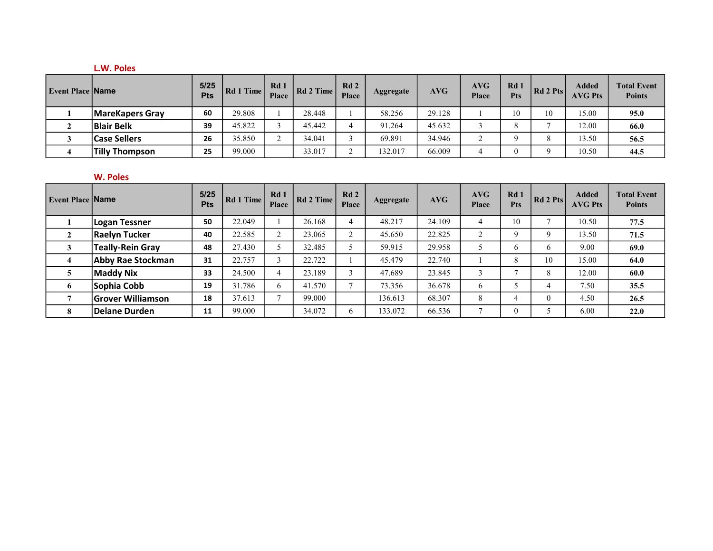#### L.W. Poles

| <b>Event Place Name</b> |                        | $5/25$<br><b>Pts</b> | Rd 1 Time | Rd <sub>1</sub><br>Place | Rd 2 Time | Rd2<br>Place | Aggregate | AVG    | <b>AVG</b><br>Place | Rd<br><b>Pts</b> | Rd 2 Pts | <b>Added</b><br><b>AVG Pts</b> | <b>Total Event</b><br><b>Points</b> |
|-------------------------|------------------------|----------------------|-----------|--------------------------|-----------|--------------|-----------|--------|---------------------|------------------|----------|--------------------------------|-------------------------------------|
|                         | <b>MareKapers Gray</b> | 60                   | 29.808    |                          | 28.448    |              | 58.256    | 29.128 |                     | 10               | 10       | 15.00                          | 95.0                                |
|                         | <b>Blair Belk</b>      | 39                   | 45.822    |                          | 45.442    |              | 91.264    | 45.632 |                     |                  |          | 12.00                          | 66.0                                |
|                         | <b>Case Sellers</b>    | 26                   | 35.850    | $\sim$<br>∸              | 34.041    |              | 69.891    | 34.946 | ◠<br>∼              |                  |          | 13.50                          | 56.5                                |
|                         | Tilly Thompson         | 25                   | 99.000    |                          | 33.017    |              | 132.017   | 66.009 |                     |                  |          | 10.50                          | 44.5                                |

## W. Poles

| <b>Event Place Name</b> |                          | 5/25<br><b>Pts</b> | Rd 1 Time | Rd1<br><b>Place</b> | Rd 2 Time | Rd2<br>Place | Aggregate | AVG    | AVG<br><b>Place</b> | Rd 1<br><b>Pts</b> | Rd 2Pts  | <b>Added</b><br><b>AVG Pts</b> | <b>Total Event</b><br><b>Points</b> |
|-------------------------|--------------------------|--------------------|-----------|---------------------|-----------|--------------|-----------|--------|---------------------|--------------------|----------|--------------------------------|-------------------------------------|
|                         | <b>Logan Tessner</b>     | 50                 | 22.049    |                     | 26.168    | 4            | 48.217    | 24.109 | $\overline{4}$      | 10                 |          | 10.50                          | 77.5                                |
| $\mathbf{2}$            | <b>Raelyn Tucker</b>     | 40                 | 22.585    | $\sim$              | 23.065    | $\sim$       | 45.650    | 22.825 | $\mathcal{L}$<br>∠  | q                  | Q        | 13.50                          | 71.5                                |
|                         | <b>Teally-Rein Gray</b>  | 48                 | 27.430    |                     | 32.485    |              | 59.915    | 29.958 | 5                   | 6                  | 6        | 9.00                           | 69.0                                |
|                         | <b>Abby Rae Stockman</b> | 31                 | 22.757    |                     | 22.722    |              | 45.479    | 22.740 |                     | 8                  | 10       | 15.00                          | 64.0                                |
|                         | <b>Maddy Nix</b>         | 33                 | 24.500    | 4                   | 23.189    |              | 47.689    | 23.845 | 3                   |                    | 8        | 12.00                          | 60.0                                |
| -6                      | Sophia Cobb              | 19                 | 31.786    | 6                   | 41.570    |              | 73.356    | 36.678 | 6                   |                    |          | 7.50                           | 35.5                                |
|                         | <b>Grover Williamson</b> | 18                 | 37.613    |                     | 99.000    |              | 136.613   | 68.307 | 8                   |                    | $\theta$ | 4.50                           | 26.5                                |
|                         | Delane Durden            | 11                 | 99.000    |                     | 34.072    | 6            | 133.072   | 66.536 | $\mathbf{r}$        | $\theta$           |          | 6.00                           | 22.0                                |